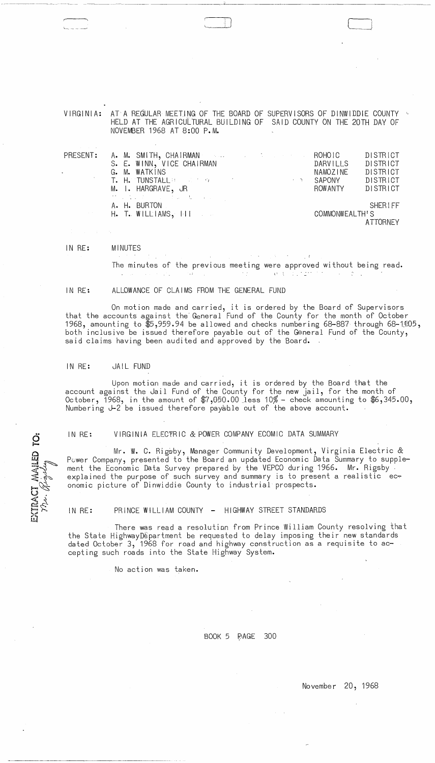VIRGINIA: AT A REGULAR MEETING OF THE BOARD OF SUPERVISORS OF DINWIDDIE COUNTY  $\sim$ HELD AT THE AGRiCULTURAL BUILDING OF SAID COUNTY ON THE 20TH DAY OF NOVEMBER 1968 AT 8:00 P.M.

----- -- -~------ --------~-------------~-----------

| PRESENT: |                                                            | A. M. SMITH, CHAIRMAN A. A. A. A. A. A. ROHOIC                  |  |                |          | DISTRICT |
|----------|------------------------------------------------------------|-----------------------------------------------------------------|--|----------------|----------|----------|
|          |                                                            | S. E. WINN, VICE CHAIRMAN                                       |  |                | DARVILLS | DISTRICT |
|          |                                                            | G. M. WATKINS                                                   |  |                | NAMOZINE | DISTRICT |
|          |                                                            | <b>T. H. TUNSTALL BEEN AND MODEL IN THE CONTRACT OF A STATE</b> |  |                | SAPONY   | DISTRICT |
|          |                                                            | M. I. HARGRAVE, JR                                              |  |                | ROW ANTY | DISTRICT |
|          |                                                            | サービュン かいしょう かいしゅうしょう                                            |  |                |          |          |
|          |                                                            | A. H. BURTON                                                    |  |                |          | SHERIFF  |
|          | $H_{\bullet}$ T. Williams, $H_{\bullet}$ is $\blacksquare$ |                                                                 |  | COMMONWEALTH'S |          |          |
|          |                                                            |                                                                 |  |                |          | ATTORNEY |

IN RE: MINUTES

> The minutes of the previous meeting were approved without being read.  $\Delta$  , and  $\Delta$  , and  $\Delta$  $\mathcal{L}^{\text{max}}_{\text{max}}$  and  $\mathcal{L}^{\text{max}}_{\text{max}}$

 $\sim t$ 

 $\mathcal{L}^{\mathcal{L}}(\mathcal{F})$  .

IN RE: ALLOWANCE OF CLAIMS FROM THE GENERAL FUND

On motion made and carried, it is ordered by the Board of Supervisors that the accounts against the General Fund of the County for the month of October 1968, amounting to  $$5,959.94$  be allowed and checks numbering 68-887 through 68-1105, both inclusive be issued therefore payable out of the General Fund of the County, said claims having been audited and approved by the Board.

### IN RE: JAIL FUND

EXTRACT MAILED TO:

 $\omega$ 

Upon motion made and carried, it is ordered by the Board that the account against the Jail Fund of the County for the new jail, for the month of October, 1968, in the amount of \$7,050.00 Jess 10% - check amounting to \$6,345.00, Numbering *J-2* be issued therefore payable out of the above account.

IN RE: VIRGINIA ELECTRIC & POWER COMPANY ECOMIC DATA SUMMARY

Mr. W. C. Rigsby, Manager Community Development, Virginia Electric & Pcwer Company, presented to the Board an updated Economic Data Summary to supplement the Economic Data Survey prepared by the VEPCO during 1966. Mr. Rigsby<br>explained the purpose of such survey and summary is to present a realistic ec<del>.</del> onomic picture of Dinwiddie County to industrial prospects.

IN RE: PRINCE WILLIAM COUNTY - HIGHWAY STREET STANDARDS

There was read a resolution from Prince William County resolving that the State HighwayDepartment be requested to delay imposing their new standards dated October 3, 1968 for road and highway construction as a requisite to accepting such roads into the State Highway System.

No action was taken.

BOOK 5 **AGE** 300

 $\alpha\in\mathbb{R}^2$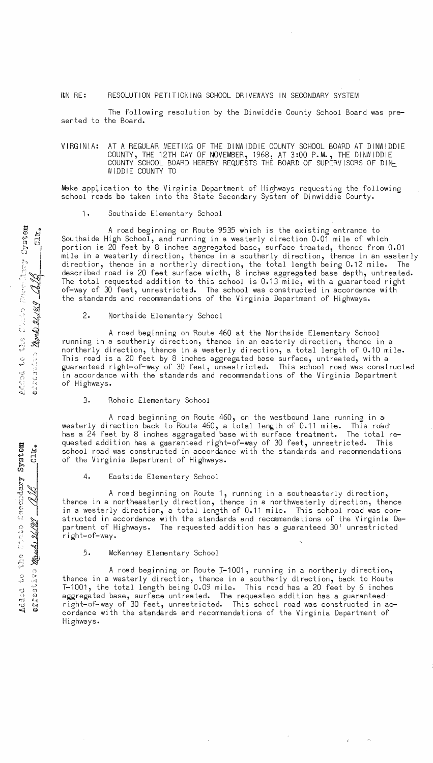## rtN RE: RESOLUTION PETITIONING SCHOOL DRIVEWAYS IN SECONDARY SYSTEM

The following resolution by the Dinwiddie County School Board was presented to the Board.

VIRGINIA: AT A REGULAR MEETING OF THE DINWIDDIE COUNTY SCHOOL BOARD AT DINWIDDIE COUNTY, THE 12TH DAY OF NOVEMBER, 1968, AT 3:00 P.M., THE DINWIDDIE COUNTY SCHOOL BOARD HEREBY REQUESTS THE BOARD OF SUPERVISORS OF DINL WIDDIE COUNTY TO

Make application to the Virginia Department of Highways requesting the following school roads be taken into the State Secondary System of Dinwiddie County.

#### 1. Southside Elementary School

A road beginning on Route 9535 which is the existing entrance to Southside High School, and running in a westerly direction 0.01 mile of which portion is 20 feet by 8 inches aggregated base, surface treated, thence from 0.01 mile in a westerly direction, thence in a southerly direction, thence in an easterly direction, thence in a northerly direction, the total length being 0.12 mile. The described road is 20 feet surface width, 8 inches aggregated base depth, untreated. The total requested addition to this school is 0.13 mile, with a guaranteed right of-way of 30 feet, unrestricted. The school was constructed in accordance with the standards and recommendations of the Virginia Department of Highways.

2. Northside Elementary School

A road beginning on Route 460 at the Northside Elementary School running in a southerly direction, thence in an easterly direction, thence in a northerly direction, thence in a westerly direction, a total length of 0.10 mile. This road is a 20 feet by 8 inches aggregated base surface, untreated, with a guaranteed right-of-way of 30 feet, unsestricted. This school road was constructed in accordance with the standards and recommendations of the Virginia Department of Highways.

### 3. Rohoic Elementary School

A road beginning on Route 460, on the westbound lane running in a westerly direction back to Route 460, a total length of 0.11 mile. This road has a 24 feet by 8 inches aggragated base with surface treatment. The total requested addition has a guaranteed right-of-way of 30 feet, unrestricted. This school road was constructed in accordance with the standards and recommendations of the Virginia Department of Highways.

4. Eastside Elementary School

A road beginning on Route 1, running in a southeasterly direction, thence in a northeasterly direction, thence in a northwesterly direction, thence in a westerly direction, a total length of 0.11 mile. This school road was constructed in accordance with the standards and recommendations of the Virginia Department of Highways. The requested addition has a guaranteed 30' unrestricted right-of-way.

## 5. McKenney Elementary School

A road beginning on Route J-1001, running in a northerly direction, thence in a westerly direction, thence in a southerly direction, back to Route T-1001, the total length being 0.09 mile. This road has a 20 feet by 6 inches aggregated base, surface untreated. The requested addition has a guaranteed right-of-way of 30 feet, unrestricted. This school road was constructed in accordance with the standards and recommendations of the Virginia Department of Highways.

a 0 (1.) ~ **--!-, r-f**  t'l 0 h I t..J I , 1337<br>**14**  $\sum_{i=1}^{n}$  $\sim$   $\sim$ C' and the ~ J , 1900, 20.<br>1900, 20. ج: ب)<br>إب<br>د ACCOO<br>e2103

 $\begin{matrix} \mathbf{H} \ \mathbf{H} \ \mathbf{H} \end{matrix}$  $CLK_{\bullet}$ 

~~o tt:l !>o t:-.~ c.j <rj~ 1'l .'.j ~) c; e; I c

 $\mathbb{Z}$ 

 $\mathbb{C}$  " $\mathbb{C}$ "  $\mathbb{C}$  .

**Added** to

 $\mathbb{Z}^{\mathbb{Z}}$  $\vec{r}$  &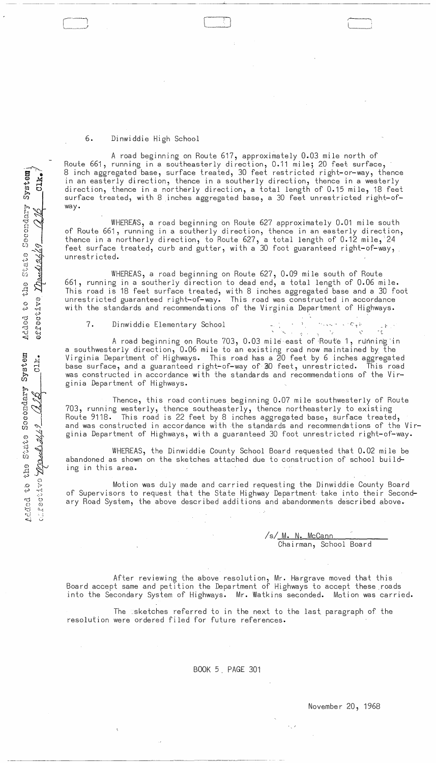# 6. Dinwiddie High School

 $\overline{\phantom{0}}$ .<br>.<br>.

A road beginning on Route 617, approximately 0.03 mile north of Route 661, running in a southeasterly direction, 0.11 mile; 20 feet surface, 8 inch aggregated base, surface treated, 30 feet restricted right-or-way, thence in an easterly direction, thence in a southerly direction, thence in a westerly direction, thence in a northerly direction, a total length of 0.15 mile, 18 feet surface treated, with 8 inches aggregated base, a 30 feet unrestricted right-ofway.

WHEREAS, a road beginning on Route 627 approximately 0.01 mile south of Route 661, running in a southerly direction, thence in an easterly direction, thence in a northerly direction, to Route 627, a total length of 0.12 mile,  $24$ feet surface treated, curb and gutter, with a 30 foot guaranteed right-of-way, unrest r icted.

WHEREAS, a road beginning on Route 627, 0.09 mile south of Route 661, running in a southerly di rection to dead end, a total length of 0.06 mi Ie. This road is 18 feet surface treated, with 8 inches aggregated base and a 30 foot unrestricted guaranteed right-of-way. This road was constructed in accordance with the standards and recommendations of the Virginia Department of Highways.

**7.** Dinwiddie Elementary School is a set of the set of  $\mathbb{R}^n$ .

 $\Lambda$ 

A road beginning on Route 703, 0.03 mile east of Route 1, running in a southwesterly direction, 0.06 mile to an existing road now maintained by the Virginia Department of Highways. This road has a 20 feet by 6 inches aggregated base surface, and a guaranteed right-of-way of 30 feet, unrestricted. This road was constructed in accordance with the standards and recommendations of the Virginia Department of Highways.

Thence, this road continues beginning 0.07 mile southwesterly of Route 703, running westerly, thence southeasterly, thence northeasterly to existing Route 9118. This road is 22 feet by 8 inches aggregated base, surface treated, and was constructed in accordance with the standards and recommendations of the Virginia Department of Highways, with a guaranteed 30 foot unrestricted right-of-way.

WHEREAS, the Dinwiddie County School Board requested that 0.02 mile be abandoned as shown on the sketches attached due to construction of school building in this area.

Motion was duly made and carried requesting the Dinwiddie County Board of Supervisors to request that the State Highway Department. take into their Secondary Road System, the above described additions and abandonments described above.

> /s/ M. N. McCann Chairman, School Board

After reviewing the above resolution, Mr. Hargrave moved that this Board accept same and petition the Department of Highways to accept these \_roads into the Secondary System of Highways. Mr. Watkins seconded. Motion was carried.

The sketches referred to in the next to the last paragraph of the resolution were ordered filed for future references.

BOOK 5. PAGE 301

November 20, 1968

 $\lambda_{\rm{g}}$  )

Added to the State Secondary System C<sub>1</sub>k dded to<br>ffective  $CLK<sub>o</sub>$ ded to<br>*restive*